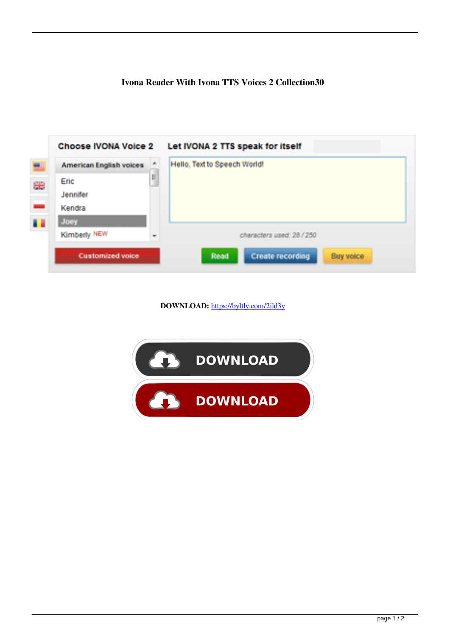## **Ivona Reader With Ivona TTS Voices 2 Collection30**

| <b>American English voices</b> | ۸  | Hello, Text to Speech World! |
|--------------------------------|----|------------------------------|
| Eric                           | q  |                              |
| Jennifer                       |    |                              |
| Kendra                         |    |                              |
| Joey                           |    |                              |
| Kimberly NEW                   | w. | characters used: 28 / 250    |

**DOWNLOAD:** <https://byltly.com/2ild3y>